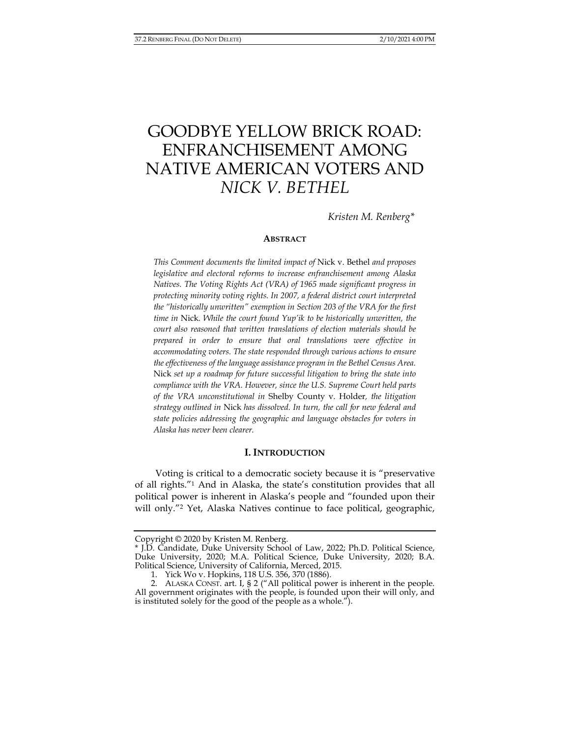# GOODBYE YELLOW BRICK ROAD: ENFRANCHISEMENT AMONG NATIVE AMERICAN VOTERS AND *NICK V. BETHEL*

*Kristen M. Renberg\** 

#### **ABSTRACT**

*This Comment documents the limited impact of* Nick v. Bethel *and proposes legislative and electoral reforms to increase enfranchisement among Alaska Natives. The Voting Rights Act (VRA) of 1965 made significant progress in protecting minority voting rights. In 2007, a federal district court interpreted the "historically unwritten" exemption in Section 203 of the VRA for the first time in* Nick*. While the court found Yup'ik to be historically unwritten, the court also reasoned that written translations of election materials should be prepared in order to ensure that oral translations were effective in accommodating voters. The state responded through various actions to ensure the effectiveness of the language assistance program in the Bethel Census Area.*  Nick *set up a roadmap for future successful litigation to bring the state into compliance with the VRA. However, since the U.S. Supreme Court held parts of the VRA unconstitutional in* Shelby County v. Holder*, the litigation strategy outlined in* Nick *has dissolved. In turn, the call for new federal and state policies addressing the geographic and language obstacles for voters in Alaska has never been clearer.* 

### **I. INTRODUCTION**

Voting is critical to a democratic society because it is "preservative of all rights."1 And in Alaska, the state's constitution provides that all political power is inherent in Alaska's people and "founded upon their will only."<sup>2</sup> Yet, Alaska Natives continue to face political, geographic,

Copyright © 2020 by Kristen M. Renberg.

<sup>\*</sup> J.D. Candidate, Duke University School of Law, 2022; Ph.D. Political Science, Duke University, 2020; M.A. Political Science, Duke University, 2020; B.A. Political Science, University of California, Merced, 2015.

 <sup>1.</sup> Yick Wo v. Hopkins, 118 U.S. 356, 370 (1886).

 <sup>2.</sup> ALASKA CONST. art. I, § 2 ("All political power is inherent in the people. All government originates with the people, is founded upon their will only, and is instituted solely for the good of the people as a whole.").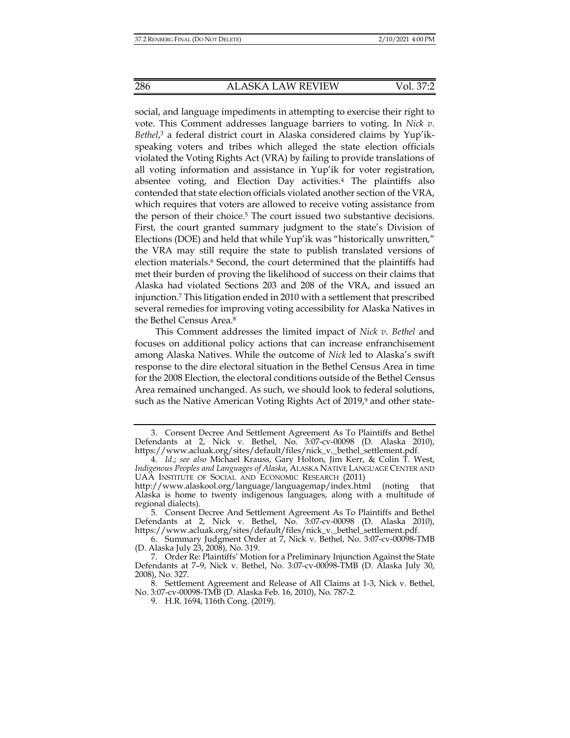social, and language impediments in attempting to exercise their right to vote. This Comment addresses language barriers to voting. In *Nick v. Bethel*, 3 a federal district court in Alaska considered claims by Yup'ikspeaking voters and tribes which alleged the state election officials violated the Voting Rights Act (VRA) by failing to provide translations of all voting information and assistance in Yup'ik for voter registration, absentee voting, and Election Day activities.4 The plaintiffs also contended that state election officials violated another section of the VRA, which requires that voters are allowed to receive voting assistance from the person of their choice.5 The court issued two substantive decisions. First, the court granted summary judgment to the state's Division of Elections (DOE) and held that while Yup'ik was "historically unwritten," the VRA may still require the state to publish translated versions of election materials.<sup>6</sup> Second, the court determined that the plaintiffs had met their burden of proving the likelihood of success on their claims that Alaska had violated Sections 203 and 208 of the VRA, and issued an injunction.7 This litigation ended in 2010 with a settlement that prescribed several remedies for improving voting accessibility for Alaska Natives in the Bethel Census Area.8

This Comment addresses the limited impact of *Nick v. Bethel* and focuses on additional policy actions that can increase enfranchisement among Alaska Natives. While the outcome of *Nick* led to Alaska's swift response to the dire electoral situation in the Bethel Census Area in time for the 2008 Election, the electoral conditions outside of the Bethel Census Area remained unchanged. As such, we should look to federal solutions, such as the Native American Voting Rights Act of 2019,<sup>9</sup> and other state-

 <sup>3.</sup> Consent Decree And Settlement Agreement As To Plaintiffs and Bethel Defendants at 2, Nick v. Bethel, No. 3:07-cv-00098 (D. Alaska 2010), https://www.acluak.org/sites/default/files/nick\_v.\_bethel\_settlement.pdf.

 <sup>4.</sup> *Id*.; *see also* Michael Krauss, Gary Holton, Jim Kerr, & Colin T. West, *Indigenous Peoples and Languages of Alaska*, ALASKA NATIVE LANGUAGE CENTER AND UAA INSTITUTE OF SOCIAL AND ECONOMIC RESEARCH (2011)

http://www.alaskool.org/language/languagemap/index.html (noting that Alaska is home to twenty indigenous languages, along with a multitude of regional dialects).

 <sup>5.</sup> Consent Decree And Settlement Agreement As To Plaintiffs and Bethel Defendants at 2, Nick v. Bethel, No. 3:07-cv-00098 (D. Alaska 2010), https://www.acluak.org/sites/default/files/nick\_v.\_bethel\_settlement.pdf.

 <sup>6.</sup> Summary Judgment Order at 7, Nick v. Bethel, No. 3:07-cv-00098-TMB (D. Alaska July 23, 2008), No. 319.

 <sup>7.</sup> Order Re: Plaintiffs' Motion for a Preliminary Injunction Against the State Defendants at 7–9, Nick v. Bethel, No. 3:07-cv-00098-TMB (D. Alaska July 30, 2008), No. 327.

 <sup>8.</sup> Settlement Agreement and Release of All Claims at 1-3, Nick v. Bethel, No. 3:07-cv-00098-TMB (D. Alaska Feb. 16, 2010), No. 787-2.

 <sup>9.</sup> H.R. 1694, 116th Cong. (2019).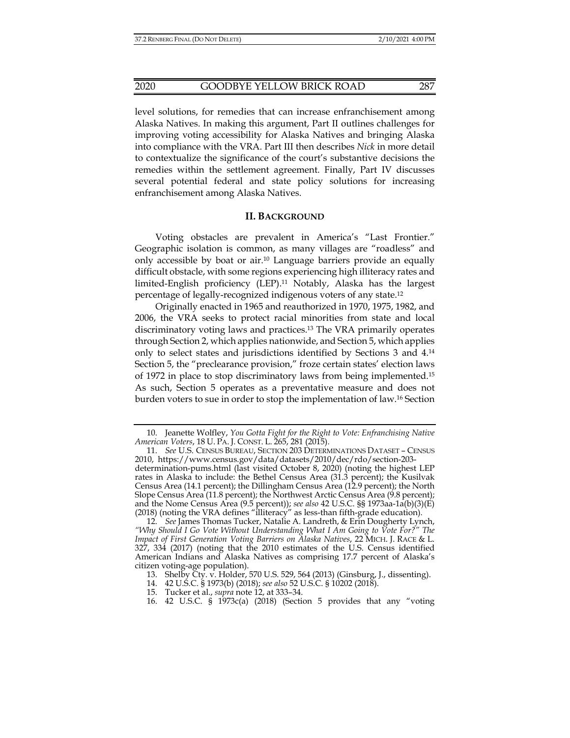level solutions, for remedies that can increase enfranchisement among Alaska Natives. In making this argument, Part II outlines challenges for improving voting accessibility for Alaska Natives and bringing Alaska into compliance with the VRA. Part III then describes *Nick* in more detail to contextualize the significance of the court's substantive decisions the remedies within the settlement agreement. Finally, Part IV discusses several potential federal and state policy solutions for increasing enfranchisement among Alaska Natives.

### **II. BACKGROUND**

Voting obstacles are prevalent in America's "Last Frontier." Geographic isolation is common, as many villages are "roadless" and only accessible by boat or air.10 Language barriers provide an equally difficult obstacle, with some regions experiencing high illiteracy rates and limited-English proficiency (LEP).11 Notably, Alaska has the largest percentage of legally-recognized indigenous voters of any state.12

Originally enacted in 1965 and reauthorized in 1970, 1975, 1982, and 2006, the VRA seeks to protect racial minorities from state and local discriminatory voting laws and practices.13 The VRA primarily operates through Section 2, which applies nationwide, and Section 5, which applies only to select states and jurisdictions identified by Sections 3 and 4.14 Section 5, the "preclearance provision," froze certain states' election laws of 1972 in place to stop discriminatory laws from being implemented.15 As such, Section 5 operates as a preventative measure and does not burden voters to sue in order to stop the implementation of law.16 Section

- 15. Tucker et al., *supra* note 12, at 333–34.
- 16. 42 U.S.C. § 1973c(a) (2018) (Section 5 provides that any "voting

 <sup>10.</sup> Jeanette Wolfley, *You Gotta Fight for the Right to Vote: Enfranchising Native American Voters*, 18 U. PA. J. CONST. L. 265, 281 (2015).

 <sup>11.</sup> *See* U.S. CENSUS BUREAU, SECTION 203 DETERMINATIONS DATASET – CENSUS 2010, https://www.census.gov/data/datasets/2010/dec/rdo/section-203 determination-pums.html (last visited October 8, 2020) (noting the highest LEP rates in Alaska to include: the Bethel Census Area (31.3 percent); the Kusilvak Census Area (14.1 percent); the Dillingham Census Area (12.9 percent); the North Slope Census Area (11.8 percent); the Northwest Arctic Census Area (9.8 percent); and the Nome Census Area (9.5 percent)); *see also* 42 U.S.C. §§ 1973aa-1a(b)(3)(E) (2018) (noting the VRA defines "illiteracy" as less-than fifth-grade education).

 <sup>12.</sup> *See* James Thomas Tucker, Natalie A. Landreth, & Erin Dougherty Lynch, *"Why Should I Go Vote Without Understanding What I Am Going to Vote For?" The Impact of First Generation Voting Barriers on Alaska Natives*, 22 MICH. J. RACE & L. 327, 334 (2017) (noting that the 2010 estimates of the U.S. Census identified American Indians and Alaska Natives as comprising 17.7 percent of Alaska's citizen voting-age population).

 <sup>13.</sup> Shelby Cty. v. Holder, 570 U.S. 529, 564 (2013) (Ginsburg, J., dissenting).

 <sup>14. 42</sup> U.S.C. § 1973(b) (2018); *see also* 52 U.S.C. § 10202 (2018).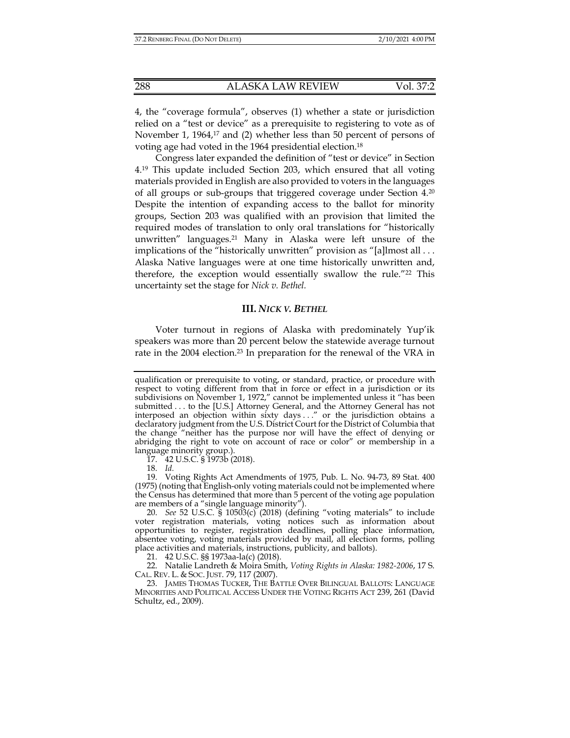4, the "coverage formula", observes (1) whether a state or jurisdiction relied on a "test or device" as a prerequisite to registering to vote as of November 1, 1964,<sup>17</sup> and (2) whether less than 50 percent of persons of voting age had voted in the 1964 presidential election.18

Congress later expanded the definition of "test or device" in Section 4.19 This update included Section 203, which ensured that all voting materials provided in English are also provided to voters in the languages of all groups or sub-groups that triggered coverage under Section 4.20 Despite the intention of expanding access to the ballot for minority groups, Section 203 was qualified with an provision that limited the required modes of translation to only oral translations for "historically unwritten" languages.21 Many in Alaska were left unsure of the implications of the "historically unwritten" provision as "[a]lmost all ... Alaska Native languages were at one time historically unwritten and, therefore, the exception would essentially swallow the rule."22 This uncertainty set the stage for *Nick v. Bethel.*

### **III.** *NICK V. BETHEL*

Voter turnout in regions of Alaska with predominately Yup'ik speakers was more than 20 percent below the statewide average turnout rate in the 2004 election.23 In preparation for the renewal of the VRA in

17. 42 U.S.C. § 1973b (2018).

18. *Id.*

21. 42 U.S.C. §§ 1973aa-la(c) (2018).

 22. Natalie Landreth & Moira Smith, *Voting Rights in Alaska: 1982-2006*, 17 S. CAL. REV. L. & SOC. JUST. 79, 117 (2007).

 23. JAMES THOMAS TUCKER, THE BATTLE OVER BILINGUAL BALLOTS: LANGUAGE MINORITIES AND POLITICAL ACCESS UNDER THE VOTING RIGHTS ACT 239, 261 (David Schultz, ed., 2009).

qualification or prerequisite to voting, or standard, practice, or procedure with respect to voting different from that in force or effect in a jurisdiction or its subdivisions on November 1, 1972," cannot be implemented unless it "has been submitted . . . to the [U.S.] Attorney General, and the Attorney General has not interposed an objection within sixty days . . ." or the jurisdiction obtains a declaratory judgment from the U.S. District Court for the District of Columbia that the change "neither has the purpose nor will have the effect of denying or abridging the right to vote on account of race or color" or membership in a language minority group.).

 <sup>19.</sup> Voting Rights Act Amendments of 1975, Pub. L. No. 94-73, 89 Stat. 400 (1975) (noting that English-only voting materials could not be implemented where the Census has determined that more than 5 percent of the voting age population are members of a "single language minority").

 <sup>20.</sup> *See* 52 U.S.C. § 10503(c) (2018) (defining "voting materials" to include voter registration materials, voting notices such as information about opportunities to register, registration deadlines, polling place information, absentee voting, voting materials provided by mail, all election forms, polling place activities and materials, instructions, publicity, and ballots).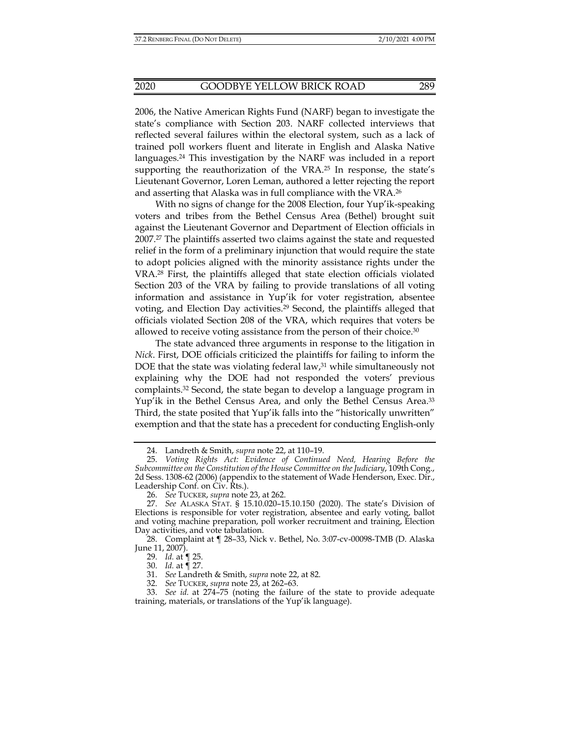2006, the Native American Rights Fund (NARF) began to investigate the state's compliance with Section 203. NARF collected interviews that reflected several failures within the electoral system, such as a lack of trained poll workers fluent and literate in English and Alaska Native languages.24 This investigation by the NARF was included in a report supporting the reauthorization of the VRA.<sup>25</sup> In response, the state's Lieutenant Governor, Loren Leman, authored a letter rejecting the report and asserting that Alaska was in full compliance with the VRA.26

With no signs of change for the 2008 Election, four Yup'ik-speaking voters and tribes from the Bethel Census Area (Bethel) brought suit against the Lieutenant Governor and Department of Election officials in 2007.27 The plaintiffs asserted two claims against the state and requested relief in the form of a preliminary injunction that would require the state to adopt policies aligned with the minority assistance rights under the VRA.28 First, the plaintiffs alleged that state election officials violated Section 203 of the VRA by failing to provide translations of all voting information and assistance in Yup'ik for voter registration, absentee voting, and Election Day activities.<sup>29</sup> Second, the plaintiffs alleged that officials violated Section 208 of the VRA, which requires that voters be allowed to receive voting assistance from the person of their choice.30

The state advanced three arguments in response to the litigation in *Nick*. First, DOE officials criticized the plaintiffs for failing to inform the DOE that the state was violating federal law, $31$  while simultaneously not explaining why the DOE had not responded the voters' previous complaints.32 Second, the state began to develop a language program in Yup'ik in the Bethel Census Area, and only the Bethel Census Area.33 Third, the state posited that Yup'ik falls into the "historically unwritten" exemption and that the state has a precedent for conducting English-only

 <sup>24.</sup> Landreth & Smith, *supra* note 22, at 110–19.

 <sup>25.</sup> *Voting Rights Act: Evidence of Continued Need, Hearing Before the Subcommittee on the Constitution of the House Committee on the Judiciary*, 109th Cong., 2d Sess. 1308-62 (2006) (appendix to the statement of Wade Henderson, Exec. Dir., Leadership Conf. on Civ. Rts.).

 <sup>26.</sup> *See* TUCKER, *supra* note 23, at 262.

 <sup>27.</sup> *See* ALASKA STAT. § 15.10.020–15.10.150 (2020). The state's Division of Elections is responsible for voter registration, absentee and early voting, ballot and voting machine preparation, poll worker recruitment and training, Election Day activities, and vote tabulation.

 <sup>28.</sup> Complaint at ¶ 28–33, Nick v. Bethel, No. 3:07-cv-00098-TMB (D. Alaska June 11, 2007).

 <sup>29.</sup> *Id.* at ¶ 25.

 <sup>30.</sup> *Id.* at ¶ 27.

 <sup>31.</sup> *See* Landreth & Smith, *supra* note 22, at 82.

 <sup>32.</sup> *See* TUCKER, *supra* note 23, at 262–63.

 <sup>33.</sup> *See id.* at 274–75 (noting the failure of the state to provide adequate training, materials, or translations of the Yup'ik language).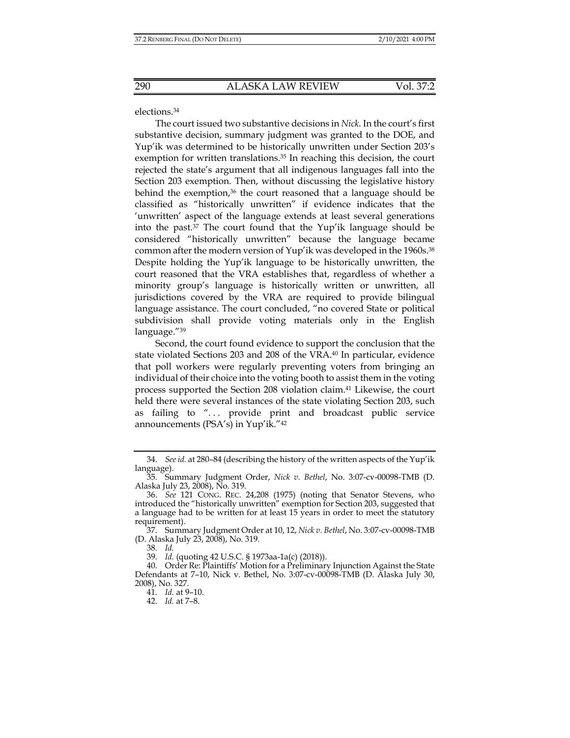elections.34

The court issued two substantive decisions in *Nick.* In the court's first substantive decision, summary judgment was granted to the DOE, and Yup'ik was determined to be historically unwritten under Section 203's exemption for written translations.<sup>35</sup> In reaching this decision, the court rejected the state's argument that all indigenous languages fall into the Section 203 exemption. Then, without discussing the legislative history behind the exemption, $36$  the court reasoned that a language should be classified as "historically unwritten" if evidence indicates that the 'unwritten' aspect of the language extends at least several generations into the past.37 The court found that the Yup'ik language should be considered "historically unwritten" because the language became common after the modern version of Yup'ik was developed in the 1960s.<sup>38</sup> Despite holding the Yup'ik language to be historically unwritten, the court reasoned that the VRA establishes that, regardless of whether a minority group's language is historically written or unwritten, all jurisdictions covered by the VRA are required to provide bilingual language assistance. The court concluded, "no covered State or political subdivision shall provide voting materials only in the English language."39

Second, the court found evidence to support the conclusion that the state violated Sections 203 and 208 of the VRA.40 In particular, evidence that poll workers were regularly preventing voters from bringing an individual of their choice into the voting booth to assist them in the voting process supported the Section 208 violation claim.41 Likewise, the court held there were several instances of the state violating Section 203, such as failing to "... provide print and broadcast public service announcements (PSA's) in Yup'ik."42

 <sup>34.</sup> *See id.* at 280–84 (describing the history of the written aspects of the Yup'ik language).

 <sup>35.</sup> Summary Judgment Order, *Nick v. Bethel*, No. 3:07-cv-00098-TMB (D. Alaska July 23, 2008), No. 319.

 <sup>36.</sup> *See* 121 CONG. REC. 24,208 (1975) (noting that Senator Stevens, who introduced the "historically unwritten" exemption for Section 203, suggested that a language had to be written for at least 15 years in order to meet the statutory requirement).

 <sup>37.</sup> Summary Judgment Order at 10, 12, *Nick v. Bethel*, No. 3:07-cv-00098-TMB (D. Alaska July 23, 2008), No. 319.

<sup>38</sup>*. Id.*

 <sup>39.</sup> *Id.* (quoting 42 U.S.C. § 1973aa-1a(c) (2018)).

 <sup>40.</sup> Order Re: Plaintiffs' Motion for a Preliminary Injunction Against the State Defendants at 7–10, Nick v. Bethel, No. 3:07-cv-00098-TMB (D. Alaska July 30, 2008), No. 327.

 <sup>41.</sup> *Id.* at 9–10.

 <sup>42.</sup> *Id.* at 7–8.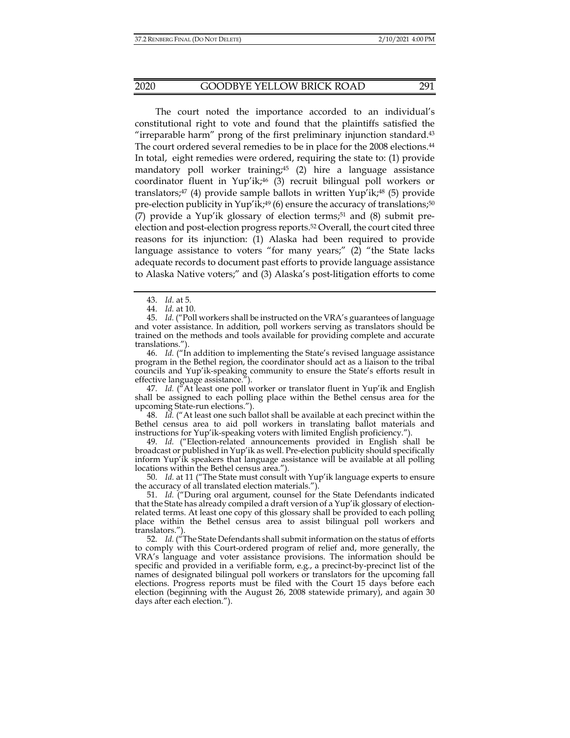The court noted the importance accorded to an individual's constitutional right to vote and found that the plaintiffs satisfied the "irreparable harm" prong of the first preliminary injunction standard. $43$ The court ordered several remedies to be in place for the 2008 elections.44 In total, eight remedies were ordered, requiring the state to: (1) provide mandatory poll worker training;<sup>45</sup> (2) hire a language assistance coordinator fluent in Yup'ik;46 (3) recruit bilingual poll workers or translators; $47$  (4) provide sample ballots in written Yup'ik; $48$  (5) provide pre-election publicity in Yup'ik;<sup>49</sup> (6) ensure the accuracy of translations;<sup>50</sup> (7) provide a Yup'ik glossary of election terms; $51$  and (8) submit preelection and post-election progress reports.52 Overall, the court cited three reasons for its injunction: (1) Alaska had been required to provide language assistance to voters "for many years;" (2) "the State lacks adequate records to document past efforts to provide language assistance to Alaska Native voters;" and (3) Alaska's post-litigation efforts to come

 46. *Id.* ("In addition to implementing the State's revised language assistance program in the Bethel region, the coordinator should act as a liaison to the tribal councils and Yup'ik-speaking community to ensure the State's efforts result in effective language assistance.").

 47. *Id.* ("At least one poll worker or translator fluent in Yup'ik and English shall be assigned to each polling place within the Bethel census area for the upcoming State-run elections.").

 48. *Id.* ("At least one such ballot shall be available at each precinct within the Bethel census area to aid poll workers in translating ballot materials and instructions for Yup'ik-speaking voters with limited English proficiency.").

 49. *Id.* ("Election-related announcements provided in English shall be broadcast or published in Yup'ik as well. Pre-election publicity should specifically inform Yup'ik speakers that language assistance will be available at all polling locations within the Bethel census area.").

 50. *Id.* at 11 ("The State must consult with Yup'ik language experts to ensure the accuracy of all translated election materials.").

 51. *Id.* ("During oral argument, counsel for the State Defendants indicated that the State has already compiled a draft version of a Yup'ik glossary of electionrelated terms. At least one copy of this glossary shall be provided to each polling place within the Bethel census area to assist bilingual poll workers and translators.").

 52. *Id.* ("The State Defendants shall submit information on the status of efforts to comply with this Court-ordered program of relief and, more generally, the VRA's language and voter assistance provisions. The information should be specific and provided in a verifiable form, e.g., a precinct-by-precinct list of the names of designated bilingual poll workers or translators for the upcoming fall elections. Progress reports must be filed with the Court 15 days before each election (beginning with the August 26, 2008 statewide primary), and again 30 days after each election.").

 <sup>43.</sup> *Id.* at 5.

 <sup>44.</sup> *Id.* at 10.

 <sup>45.</sup> *Id.* ("Poll workers shall be instructed on the VRA's guarantees of language and voter assistance. In addition, poll workers serving as translators should be trained on the methods and tools available for providing complete and accurate translations.").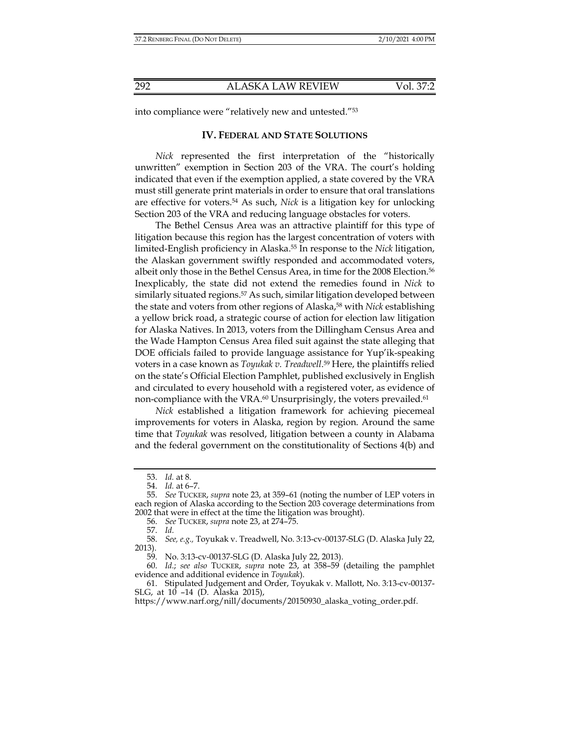into compliance were "relatively new and untested."53

## **IV. FEDERAL AND STATE SOLUTIONS**

*Nick* represented the first interpretation of the "historically unwritten" exemption in Section 203 of the VRA. The court's holding indicated that even if the exemption applied, a state covered by the VRA must still generate print materials in order to ensure that oral translations are effective for voters.54 As such, *Nick* is a litigation key for unlocking Section 203 of the VRA and reducing language obstacles for voters.

The Bethel Census Area was an attractive plaintiff for this type of litigation because this region has the largest concentration of voters with limited-English proficiency in Alaska.55 In response to the *Nick* litigation, the Alaskan government swiftly responded and accommodated voters, albeit only those in the Bethel Census Area, in time for the 2008 Election.56 Inexplicably, the state did not extend the remedies found in *Nick* to similarly situated regions.<sup>57</sup> As such, similar litigation developed between the state and voters from other regions of Alaska,<sup>58</sup> with *Nick* establishing a yellow brick road, a strategic course of action for election law litigation for Alaska Natives. In 2013, voters from the Dillingham Census Area and the Wade Hampton Census Area filed suit against the state alleging that DOE officials failed to provide language assistance for Yup'ik-speaking voters in a case known as *Toyukak v. Treadwell*. 59 Here, the plaintiffs relied on the state's Official Election Pamphlet, published exclusively in English and circulated to every household with a registered voter, as evidence of non-compliance with the VRA.<sup>60</sup> Unsurprisingly, the voters prevailed.<sup>61</sup>

*Nick* established a litigation framework for achieving piecemeal improvements for voters in Alaska, region by region. Around the same time that *Toyukak* was resolved, litigation between a county in Alabama and the federal government on the constitutionality of Sections 4(b) and

 60. *Id.*; *see also* TUCKER, *supra* note 23, at 358–59 (detailing the pamphlet evidence and additional evidence in *Toyukak*).

 <sup>53.</sup> *Id.* at 8.

 <sup>54.</sup> *Id.* at 6–7.

 <sup>55.</sup> *See* TUCKER, *supra* note 23, at 359–61 (noting the number of LEP voters in each region of Alaska according to the Section 203 coverage determinations from 2002 that were in effect at the time the litigation was brought).

 <sup>56.</sup> *See* TUCKER, *supra* note 23, at 274–75.

 <sup>57.</sup> *Id.*

 <sup>58.</sup> *See, e.g.,* Toyukak v. Treadwell, No. 3:13-cv-00137-SLG (D. Alaska July 22, 2013).

 <sup>59.</sup> No. 3:13-cv-00137-SLG (D. Alaska July 22, 2013).

 <sup>61.</sup> Stipulated Judgement and Order, Toyukak v. Mallott, No. 3:13-cv-00137- SLG, at 10 –14 (D. Alaska 2015),

https://www.narf.org/nill/documents/20150930\_alaska\_voting\_order.pdf.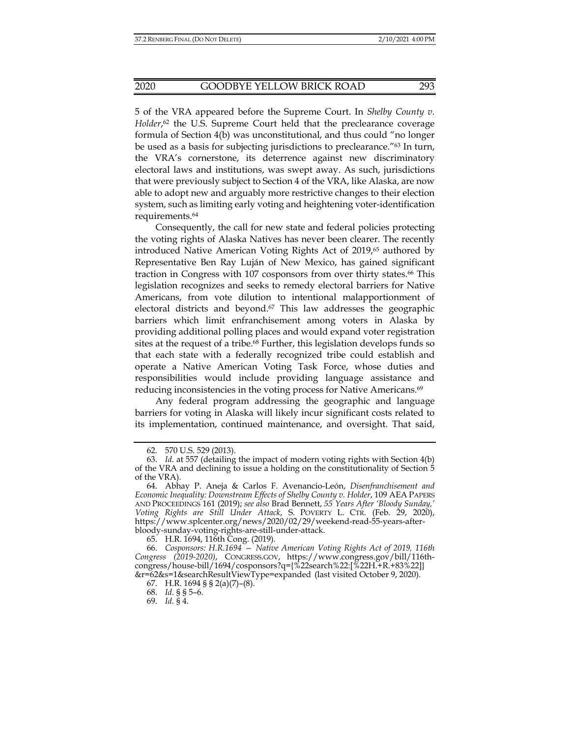5 of the VRA appeared before the Supreme Court. In *Shelby County v.*  Holder,<sup>62</sup> the U.S. Supreme Court held that the preclearance coverage formula of Section 4(b) was unconstitutional, and thus could "no longer be used as a basis for subjecting jurisdictions to preclearance."63 In turn, the VRA's cornerstone, its deterrence against new discriminatory electoral laws and institutions, was swept away. As such, jurisdictions that were previously subject to Section 4 of the VRA, like Alaska, are now able to adopt new and arguably more restrictive changes to their election system, such as limiting early voting and heightening voter-identification requirements.64

Consequently, the call for new state and federal policies protecting the voting rights of Alaska Natives has never been clearer. The recently introduced Native American Voting Rights Act of 2019,<sup>65</sup> authored by Representative Ben Ray Luján of New Mexico, has gained significant traction in Congress with 107 cosponsors from over thirty states.<sup>66</sup> This legislation recognizes and seeks to remedy electoral barriers for Native Americans, from vote dilution to intentional malapportionment of electoral districts and beyond.<sup>67</sup> This law addresses the geographic barriers which limit enfranchisement among voters in Alaska by providing additional polling places and would expand voter registration sites at the request of a tribe.<sup>68</sup> Further, this legislation develops funds so that each state with a federally recognized tribe could establish and operate a Native American Voting Task Force, whose duties and responsibilities would include providing language assistance and reducing inconsistencies in the voting process for Native Americans.<sup>69</sup>

Any federal program addressing the geographic and language barriers for voting in Alaska will likely incur significant costs related to its implementation, continued maintenance, and oversight. That said,

 <sup>62. 570</sup> U.S. 529 (2013).

 <sup>63.</sup> *Id.* at 557 (detailing the impact of modern voting rights with Section 4(b) of the VRA and declining to issue a holding on the constitutionality of Section 5 of the VRA).

 <sup>64.</sup> Abhay P. Aneja & Carlos F. Avenancio-León, *Disenfranchisement and Economic Inequality: Downstream Effects of Shelby County v. Holder*, 109 AEA PAPERS AND PROCEEDINGS 161 (2019); *see also* Brad Bennett, *55 Years After 'Bloody Sunday,' Voting Rights are Still Under Attack*, S. POVERTY L. CTR. (Feb. 29, 2020), https://www.splcenter.org/news/2020/02/29/weekend-read-55-years-afterbloody-sunday-voting-rights-are-still-under-attack.

 <sup>65.</sup> H.R. 1694, 116th Cong. (2019).

 <sup>66.</sup> *Cosponsors: H.R.1694 — Native American Voting Rights Act of 2019, 116th Congress (2019-2020)*, CONGRESS.GOV, https://www.congress.gov/bill/116thcongress/house-bill/1694/cosponsors?q={%22search%22:[%22H.+R.+83%22]} &r=62&s=1&searchResultViewType=expanded (last visited October 9, 2020).

 <sup>67.</sup> H.R. 1694 § § 2(a)(7)–(8).

 <sup>68.</sup> *Id.* § § 5–6.

 <sup>69.</sup> *Id.* § 4.